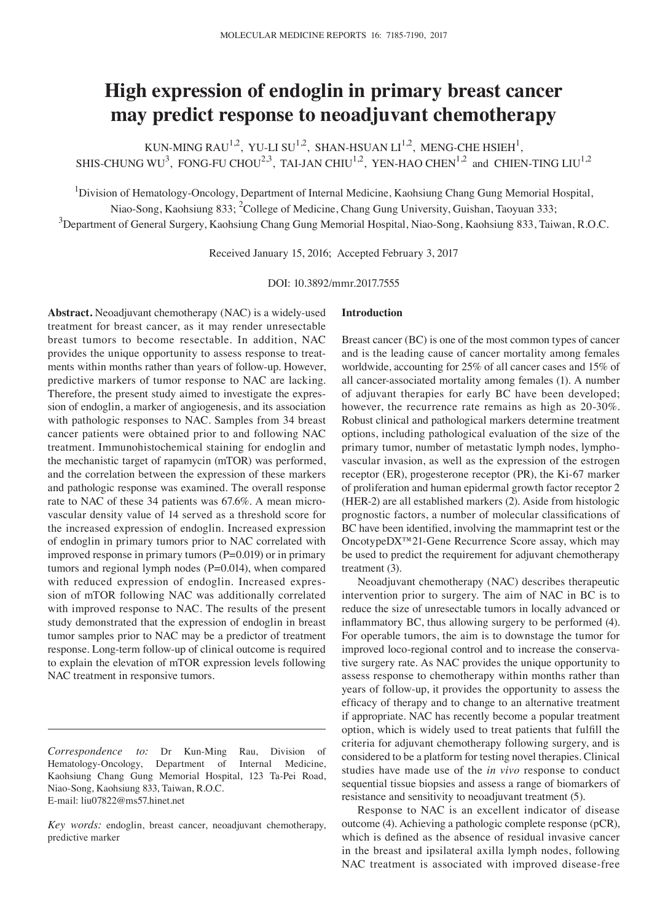# **High expression of endoglin in primary breast cancer may predict response to neoadjuvant chemotherapy**

KUN-MING RAU<sup>1,2</sup>, YU-LI SU<sup>1,2</sup>, SHAN-HSUAN LI<sup>1,2</sup>, MENG-CHE HSIEH<sup>1</sup>, SHIS-CHUNG WU<sup>3</sup>, FONG-FU CHOU<sup>2,3</sup>, TAI-JAN CHIU<sup>1,2</sup>, YEN-HAO CHEN<sup>1,2</sup> and CHIEN-TING LIU<sup>1,2</sup>

<sup>1</sup>Division of Hematology-Oncology, Department of Internal Medicine, Kaohsiung Chang Gung Memorial Hospital,

Niao-Song, Kaohsiung 833; <sup>2</sup>College of Medicine, Chang Gung University, Guishan, Taoyuan 333;

 $^3$ Department of General Surgery, Kaohsiung Chang Gung Memorial Hospital, Niao-Song, Kaohsiung 833, Taiwan, R.O.C.

Received January 15, 2016; Accepted February 3, 2017

DOI: 10.3892/mmr.2017.7555

**Abstract.** Neoadjuvant chemotherapy (NAC) is a widely-used treatment for breast cancer, as it may render unresectable breast tumors to become resectable. In addition, NAC provides the unique opportunity to assess response to treatments within months rather than years of follow-up. However, predictive markers of tumor response to NAC are lacking. Therefore, the present study aimed to investigate the expression of endoglin, a marker of angiogenesis, and its association with pathologic responses to NAC. Samples from 34 breast cancer patients were obtained prior to and following NAC treatment. Immunohistochemical staining for endoglin and the mechanistic target of rapamycin (mTOR) was performed, and the correlation between the expression of these markers and pathologic response was examined. The overall response rate to NAC of these 34 patients was 67.6%. A mean microvascular density value of 14 served as a threshold score for the increased expression of endoglin. Increased expression of endoglin in primary tumors prior to NAC correlated with improved response in primary tumors  $(P=0.019)$  or in primary tumors and regional lymph nodes (P=0.014), when compared with reduced expression of endoglin. Increased expression of mTOR following NAC was additionally correlated with improved response to NAC. The results of the present study demonstrated that the expression of endoglin in breast tumor samples prior to NAC may be a predictor of treatment response. Long-term follow-up of clinical outcome is required to explain the elevation of mTOR expression levels following NAC treatment in responsive tumors.

# **Introduction**

Breast cancer (BC) is one of the most common types of cancer and is the leading cause of cancer mortality among females worldwide, accounting for 25% of all cancer cases and 15% of all cancer-associated mortality among females (1). A number of adjuvant therapies for early BC have been developed; however, the recurrence rate remains as high as 20-30%. Robust clinical and pathological markers determine treatment options, including pathological evaluation of the size of the primary tumor, number of metastatic lymph nodes, lymphovascular invasion, as well as the expression of the estrogen receptor (ER), progesterone receptor (PR), the Ki-67 marker of proliferation and human epidermal growth factor receptor 2 (HER-2) are all established markers (2). Aside from histologic prognostic factors, a number of molecular classifications of BC have been identified, involving the mammaprint test or the OncotypeDX™21-Gene Recurrence Score assay, which may be used to predict the requirement for adjuvant chemotherapy treatment (3).

Neoadjuvant chemotherapy (NAC) describes therapeutic intervention prior to surgery. The aim of NAC in BC is to reduce the size of unresectable tumors in locally advanced or inflammatory BC, thus allowing surgery to be performed (4). For operable tumors, the aim is to downstage the tumor for improved loco-regional control and to increase the conservative surgery rate. As NAC provides the unique opportunity to assess response to chemotherapy within months rather than years of follow-up, it provides the opportunity to assess the efficacy of therapy and to change to an alternative treatment if appropriate. NAC has recently become a popular treatment option, which is widely used to treat patients that fulfill the criteria for adjuvant chemotherapy following surgery, and is considered to be a platform for testing novel therapies. Clinical studies have made use of the *in vivo* response to conduct sequential tissue biopsies and assess a range of biomarkers of resistance and sensitivity to neoadjuvant treatment (5).

Response to NAC is an excellent indicator of disease outcome (4). Achieving a pathologic complete response (pCR), which is defined as the absence of residual invasive cancer in the breast and ipsilateral axilla lymph nodes, following NAC treatment is associated with improved disease-free

*Correspondence to:* Dr Kun-Ming Rau, Division of Hematology-Oncology, Department of Internal Medicine, Kaohsiung Chang Gung Memorial Hospital, 123 Ta-Pei Road, Niao-Song, Kaohsiung 833, Taiwan, R.O.C. E-mail: liu07822@ms57.hinet.net

*Key words:* endoglin, breast cancer, neoadjuvant chemotherapy, predictive marker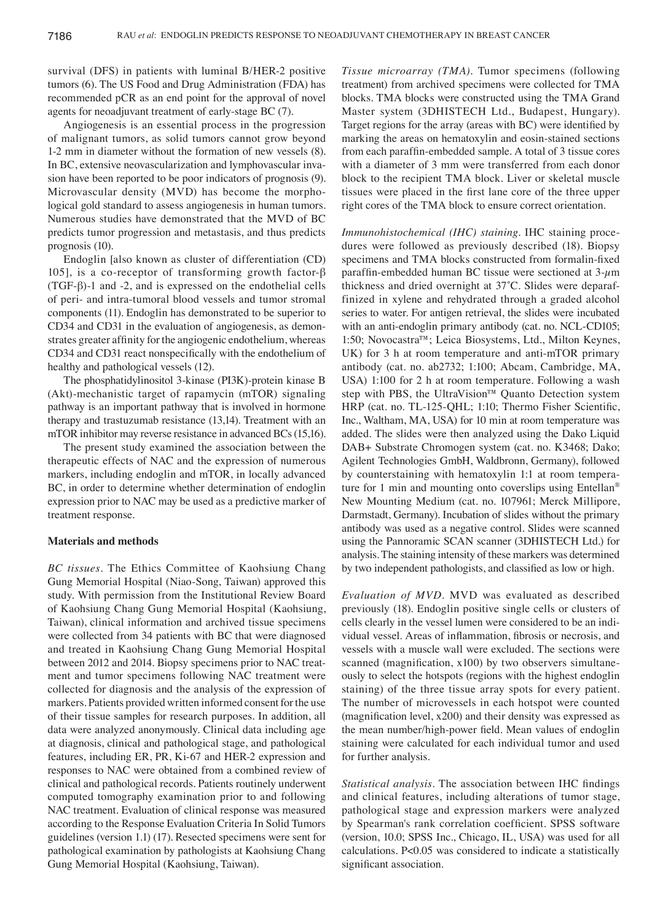survival (DFS) in patients with luminal B/HER-2 positive tumors (6). The US Food and Drug Administration (FDA) has recommended pCR as an end point for the approval of novel agents for neoadjuvant treatment of early-stage BC (7).

Angiogenesis is an essential process in the progression of malignant tumors, as solid tumors cannot grow beyond 1-2 mm in diameter without the formation of new vessels (8). In BC, extensive neovascularization and lymphovascular invasion have been reported to be poor indicators of prognosis (9). Microvascular density (MVD) has become the morphological gold standard to assess angiogenesis in human tumors. Numerous studies have demonstrated that the MVD of BC predicts tumor progression and metastasis, and thus predicts prognosis (10).

Endoglin [also known as cluster of differentiation (CD) 105], is a co-receptor of transforming growth factor-β (TGF-β)-1 and -2, and is expressed on the endothelial cells of peri- and intra-tumoral blood vessels and tumor stromal components (11). Endoglin has demonstrated to be superior to CD34 and CD31 in the evaluation of angiogenesis, as demonstrates greater affinity for the angiogenic endothelium, whereas CD34 and CD31 react nonspecifically with the endothelium of healthy and pathological vessels (12).

The phosphatidylinositol 3-kinase (PI3K)-protein kinase B (Akt)-mechanistic target of rapamycin (mTOR) signaling pathway is an important pathway that is involved in hormone therapy and trastuzumab resistance (13,14). Treatment with an mTOR inhibitor may reverse resistance in advanced BCs (15,16).

The present study examined the association between the therapeutic effects of NAC and the expression of numerous markers, including endoglin and mTOR, in locally advanced BC, in order to determine whether determination of endoglin expression prior to NAC may be used as a predictive marker of treatment response.

## **Materials and methods**

*BC tissues.* The Ethics Committee of Kaohsiung Chang Gung Memorial Hospital (Niao-Song, Taiwan) approved this study. With permission from the Institutional Review Board of Kaohsiung Chang Gung Memorial Hospital (Kaohsiung, Taiwan), clinical information and archived tissue specimens were collected from 34 patients with BC that were diagnosed and treated in Kaohsiung Chang Gung Memorial Hospital between 2012 and 2014. Biopsy specimens prior to NAC treatment and tumor specimens following NAC treatment were collected for diagnosis and the analysis of the expression of markers. Patients provided written informed consent for the use of their tissue samples for research purposes. In addition, all data were analyzed anonymously. Clinical data including age at diagnosis, clinical and pathological stage, and pathological features, including ER, PR, Ki-67 and HER-2 expression and responses to NAC were obtained from a combined review of clinical and pathological records. Patients routinely underwent computed tomography examination prior to and following NAC treatment. Evaluation of clinical response was measured according to the Response Evaluation Criteria In Solid Tumors guidelines (version 1.1) (17). Resected specimens were sent for pathological examination by pathologists at Kaohsiung Chang Gung Memorial Hospital (Kaohsiung, Taiwan).

*Tissue microarray (TMA).* Tumor specimens (following treatment) from archived specimens were collected for TMA blocks. TMA blocks were constructed using the TMA Grand Master system (3DHISTECH Ltd., Budapest, Hungary). Target regions for the array (areas with BC) were identified by marking the areas on hematoxylin and eosin-stained sections from each paraffin‑embedded sample. A total of 3 tissue cores with a diameter of 3 mm were transferred from each donor block to the recipient TMA block. Liver or skeletal muscle tissues were placed in the first lane core of the three upper right cores of the TMA block to ensure correct orientation.

*Immunohistochemical (IHC) staining.* IHC staining procedures were followed as previously described (18). Biopsy specimens and TMA blocks constructed from formalin‑fixed paraffin-embedded human BC tissue were sectioned at  $3$ - $\mu$ m thickness and dried overnight at 37˚C. Slides were deparaffinized in xylene and rehydrated through a graded alcohol series to water. For antigen retrieval, the slides were incubated with an anti-endoglin primary antibody (cat. no. NCL-CD105; 1:50; Novocastra™; Leica Biosystems, Ltd., Milton Keynes, UK) for 3 h at room temperature and anti-mTOR primary antibody (cat. no. ab2732; 1:100; Abcam, Cambridge, MA, USA) 1:100 for 2 h at room temperature. Following a wash step with PBS, the UltraVision™ Quanto Detection system HRP (cat. no. TL-125-QHL; 1:10; Thermo Fisher Scientific, Inc., Waltham, MA, USA) for 10 min at room temperature was added. The slides were then analyzed using the Dako Liquid DAB+ Substrate Chromogen system (cat. no. K3468; Dako; Agilent Technologies GmbH, Waldbronn, Germany), followed by counterstaining with hematoxylin 1:1 at room temperature for 1 min and mounting onto coverslips using Entellan® New Mounting Medium (cat. no. 107961; Merck Millipore, Darmstadt, Germany). Incubation of slides without the primary antibody was used as a negative control. Slides were scanned using the Pannoramic SCAN scanner (3DHISTECH Ltd.) for analysis. The staining intensity of these markers was determined by two independent pathologists, and classified as low or high.

*Evaluation of MVD.* MVD was evaluated as described previously (18). Endoglin positive single cells or clusters of cells clearly in the vessel lumen were considered to be an individual vessel. Areas of inflammation, fibrosis or necrosis, and vessels with a muscle wall were excluded. The sections were scanned (magnification, x100) by two observers simultaneously to select the hotspots (regions with the highest endoglin staining) of the three tissue array spots for every patient. The number of microvessels in each hotspot were counted (magnification level, x200) and their density was expressed as the mean number/high-power field. Mean values of endoglin staining were calculated for each individual tumor and used for further analysis.

*Statistical analysis.* The association between IHC findings and clinical features, including alterations of tumor stage, pathological stage and expression markers were analyzed by Spearman's rank correlation coefficient. SPSS software (version, 10.0; SPSS Inc., Chicago, IL, USA) was used for all calculations. P<0.05 was considered to indicate a statistically significant association.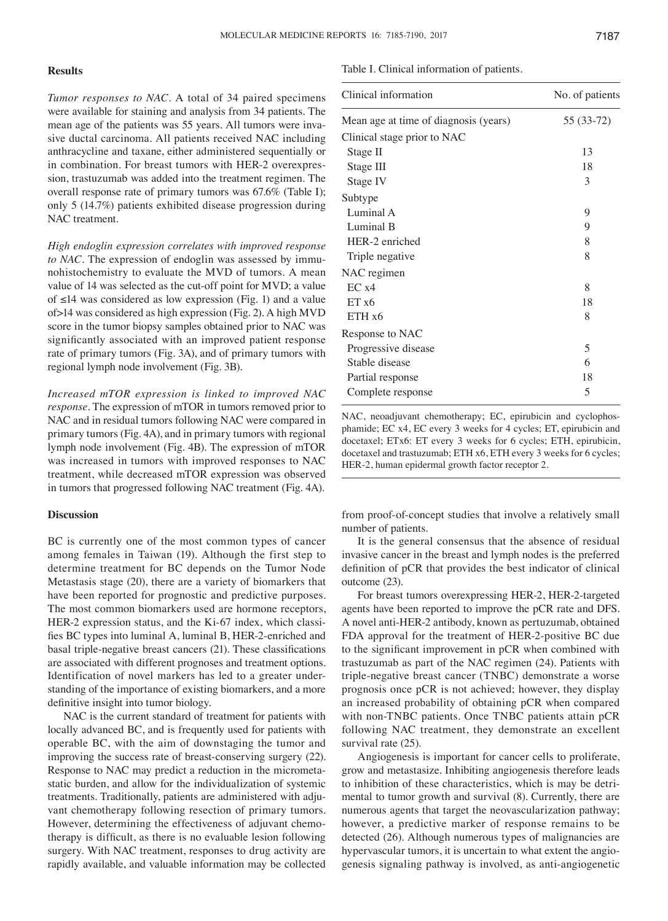## **Results**

*Tumor responses to NAC.* A total of 34 paired specimens were available for staining and analysis from 34 patients. The mean age of the patients was 55 years. All tumors were invasive ductal carcinoma. All patients received NAC including anthracycline and taxane, either administered sequentially or in combination. For breast tumors with HER-2 overexpression, trastuzumab was added into the treatment regimen. The overall response rate of primary tumors was 67.6% (Table I); only 5 (14.7%) patients exhibited disease progression during NAC treatment.

*High endoglin expression correlates with improved response*  to NAC. The expression of endoglin was assessed by immunohistochemistry to evaluate the MVD of tumors. A mean value of 14 was selected as the cut-off point for MVD; a value of ≤14 was considered as low expression (Fig. 1) and a value of>14 was considered as high expression (Fig. 2). A high MVD score in the tumor biopsy samples obtained prior to NAC was significantly associated with an improved patient response rate of primary tumors (Fig. 3A), and of primary tumors with regional lymph node involvement (Fig. 3B).

*Increased mTOR expression is linked to improved NAC response.* The expression of mTOR in tumors removed prior to NAC and in residual tumors following NAC were compared in primary tumors (Fig. 4A), and in primary tumors with regional lymph node involvement (Fig. 4B). The expression of mTOR was increased in tumors with improved responses to NAC treatment, while decreased mTOR expression was observed in tumors that progressed following NAC treatment (Fig. 4A).

#### **Discussion**

BC is currently one of the most common types of cancer among females in Taiwan (19). Although the first step to determine treatment for BC depends on the Tumor Node Metastasis stage (20), there are a variety of biomarkers that have been reported for prognostic and predictive purposes. The most common biomarkers used are hormone receptors, HER-2 expression status, and the Ki-67 index, which classifies BC types into luminal A, luminal B, HER‑2‑enriched and basal triple-negative breast cancers (21). These classifications are associated with different prognoses and treatment options. Identification of novel markers has led to a greater understanding of the importance of existing biomarkers, and a more definitive insight into tumor biology.

NAC is the current standard of treatment for patients with locally advanced BC, and is frequently used for patients with operable BC, with the aim of downstaging the tumor and improving the success rate of breast-conserving surgery (22). Response to NAC may predict a reduction in the micrometastatic burden, and allow for the individualization of systemic treatments. Traditionally, patients are administered with adjuvant chemotherapy following resection of primary tumors. However, determining the effectiveness of adjuvant chemotherapy is difficult, as there is no evaluable lesion following surgery. With NAC treatment, responses to drug activity are rapidly available, and valuable information may be collected

#### Table I. Clinical information of patients.

| Clinical information                  | No. of patients |
|---------------------------------------|-----------------|
| Mean age at time of diagnosis (years) | 55 (33-72)      |
| Clinical stage prior to NAC           |                 |
| Stage II                              | 13              |
| Stage III                             | 18              |
| Stage IV                              | 3               |
| Subtype                               |                 |
| Luminal A                             | 9               |
| Luminal B                             | 9               |
| HER-2 enriched                        | 8               |
| Triple negative                       | 8               |
| NAC regimen                           |                 |
| EC x4                                 | 8               |
| ETx6                                  | 18              |
| ETH x6                                | 8               |
| Response to NAC                       |                 |
| Progressive disease                   | 5               |
| Stable disease                        | 6               |
| Partial response                      | 18              |
| Complete response                     | 5               |
|                                       |                 |

NAC, neoadjuvant chemotherapy; EC, epirubicin and cyclophosphamide; EC x4, EC every 3 weeks for 4 cycles; ET, epirubicin and docetaxel; ETx6: ET every 3 weeks for 6 cycles; ETH, epirubicin, docetaxel and trastuzumab; ETH x6, ETH every 3 weeks for 6 cycles; HER-2, human epidermal growth factor receptor 2.

from proof-of-concept studies that involve a relatively small number of patients.

It is the general consensus that the absence of residual invasive cancer in the breast and lymph nodes is the preferred definition of pCR that provides the best indicator of clinical outcome (23).

For breast tumors overexpressing HER-2, HER-2-targeted agents have been reported to improve the pCR rate and DFS. A novel anti-HER-2 antibody, known as pertuzumab, obtained FDA approval for the treatment of HER-2-positive BC due to the significant improvement in pCR when combined with trastuzumab as part of the NAC regimen (24). Patients with triple-negative breast cancer (TNBC) demonstrate a worse prognosis once pCR is not achieved; however, they display an increased probability of obtaining pCR when compared with non-TNBC patients. Once TNBC patients attain pCR following NAC treatment, they demonstrate an excellent survival rate  $(25)$ .

Angiogenesis is important for cancer cells to proliferate, grow and metastasize. Inhibiting angiogenesis therefore leads to inhibition of these characteristics, which is may be detrimental to tumor growth and survival (8). Currently, there are numerous agents that target the neovascularization pathway; however, a predictive marker of response remains to be detected (26). Although numerous types of malignancies are hypervascular tumors, it is uncertain to what extent the angiogenesis signaling pathway is involved, as anti-angiogenetic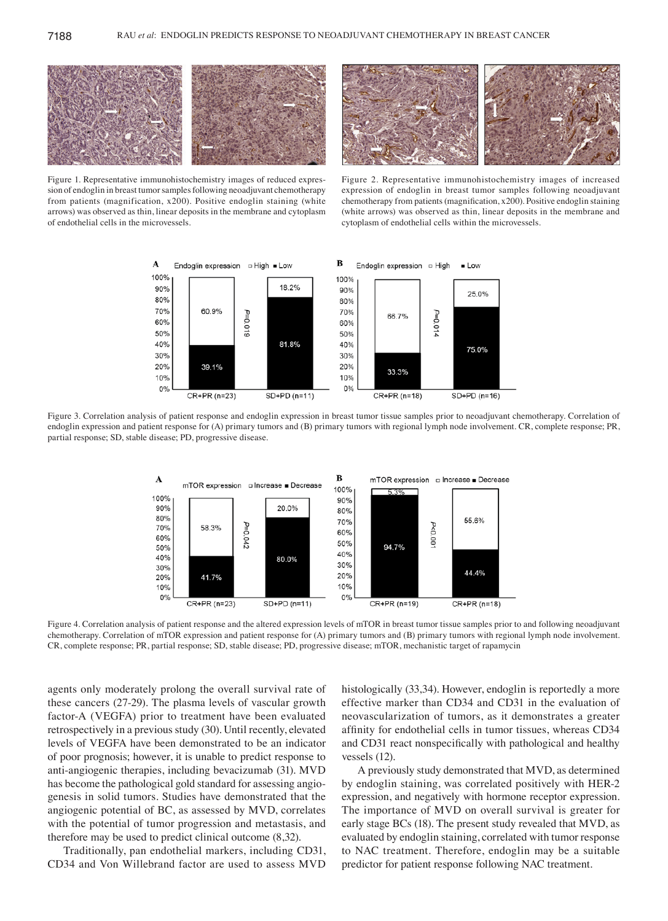

Figure 1. Representative immunohistochemistry images of reduced expression of endoglin in breast tumor samples following neoadjuvant chemotherapy from patients (magnification, x200). Positive endoglin staining (white arrows) was observed as thin, linear deposits in the membrane and cytoplasm of endothelial cells in the microvessels.

Figure 2. Representative immunohistochemistry images of increased expression of endoglin in breast tumor samples following neoadjuvant chemotherapy from patients (magnification, x200). Positive endoglin staining (white arrows) was observed as thin, linear deposits in the membrane and cytoplasm of endothelial cells within the microvessels.



Figure 3. Correlation analysis of patient response and endoglin expression in breast tumor tissue samples prior to neoadjuvant chemotherapy. Correlation of endoglin expression and patient response for (A) primary tumors and (B) primary tumors with regional lymph node involvement. CR, complete response; PR, partial response; SD, stable disease; PD, progressive disease.



Figure 4. Correlation analysis of patient response and the altered expression levels of mTOR in breast tumor tissue samples prior to and following neoadjuvant chemotherapy. Correlation of mTOR expression and patient response for (A) primary tumors and (B) primary tumors with regional lymph node involvement. CR, complete response; PR, partial response; SD, stable disease; PD, progressive disease; mTOR, mechanistic target of rapamycin

agents only moderately prolong the overall survival rate of these cancers (27-29). The plasma levels of vascular growth factor-A (VEGFA) prior to treatment have been evaluated retrospectively in a previous study (30). Until recently, elevated levels of VEGFA have been demonstrated to be an indicator of poor prognosis; however, it is unable to predict response to anti-angiogenic therapies, including bevacizumab (31). MVD has become the pathological gold standard for assessing angiogenesis in solid tumors. Studies have demonstrated that the angiogenic potential of BC, as assessed by MVD, correlates with the potential of tumor progression and metastasis, and therefore may be used to predict clinical outcome (8,32).

Traditionally, pan endothelial markers, including CD31, CD34 and Von Willebrand factor are used to assess MVD histologically (33,34). However, endoglin is reportedly a more effective marker than CD34 and CD31 in the evaluation of neovascularization of tumors, as it demonstrates a greater affinity for endothelial cells in tumor tissues, whereas CD34 and CD31 react nonspecifically with pathological and healthy vessels (12).

A previously study demonstrated that MVD, as determined by endoglin staining, was correlated positively with HER-2 expression, and negatively with hormone receptor expression. The importance of MVD on overall survival is greater for early stage BCs (18). The present study revealed that MVD, as evaluated by endoglin staining, correlated with tumor response to NAC treatment. Therefore, endoglin may be a suitable predictor for patient response following NAC treatment.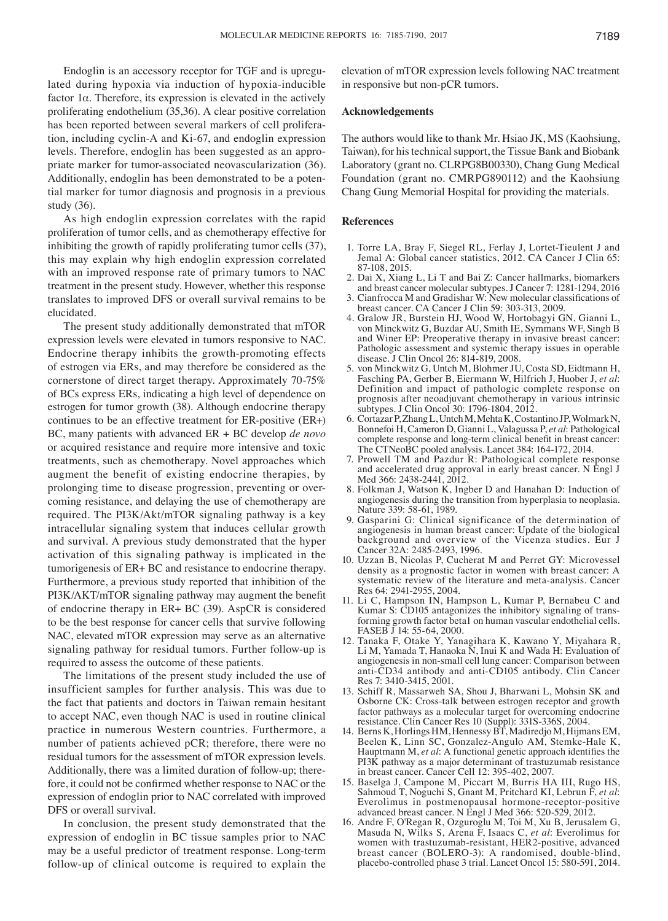Endoglin is an accessory receptor for TGF and is upregulated during hypoxia via induction of hypoxia-inducible factor 1α. Therefore, its expression is elevated in the actively proliferating endothelium (35,36). A clear positive correlation has been reported between several markers of cell proliferation, including cyclin-A and Ki-67, and endoglin expression levels. Therefore, endoglin has been suggested as an appropriate marker for tumor-associated neovascularization (36). Additionally, endoglin has been demonstrated to be a potential marker for tumor diagnosis and prognosis in a previous study (36).

As high endoglin expression correlates with the rapid proliferation of tumor cells, and as chemotherapy effective for inhibiting the growth of rapidly proliferating tumor cells (37), this may explain why high endoglin expression correlated with an improved response rate of primary tumors to NAC treatment in the present study. However, whether this response translates to improved DFS or overall survival remains to be elucidated.

The present study additionally demonstrated that mTOR expression levels were elevated in tumors responsive to NAC. Endocrine therapy inhibits the growth-promoting effects of estrogen via ERs, and may therefore be considered as the cornerstone of direct target therapy. Approximately 70-75% of BCs express ERs, indicating a high level of dependence on estrogen for tumor growth (38). Although endocrine therapy continues to be an effective treatment for ER-positive (ER+) BC, many patients with advanced ER + BC develop *de novo* or acquired resistance and require more intensive and toxic treatments, such as chemotherapy. Novel approaches which augment the benefit of existing endocrine therapies, by prolonging time to disease progression, preventing or overcoming resistance, and delaying the use of chemotherapy are required. The PI3K/Akt/mTOR signaling pathway is a key intracellular signaling system that induces cellular growth and survival. A previous study demonstrated that the hyper activation of this signaling pathway is implicated in the tumorigenesis of ER+ BC and resistance to endocrine therapy. Furthermore, a previous study reported that inhibition of the PI3K/AKT/mTOR signaling pathway may augment the benefit of endocrine therapy in ER+ BC (39). AspCR is considered to be the best response for cancer cells that survive following NAC, elevated mTOR expression may serve as an alternative signaling pathway for residual tumors. Further follow-up is required to assess the outcome of these patients.

The limitations of the present study included the use of insufficient samples for further analysis. This was due to the fact that patients and doctors in Taiwan remain hesitant to accept NAC, even though NAC is used in routine clinical practice in numerous Western countries. Furthermore, a number of patients achieved pCR; therefore, there were no residual tumors for the assessment of mTOR expression levels. Additionally, there was a limited duration of follow-up; therefore, it could not be confirmed whether response to NAC or the expression of endoglin prior to NAC correlated with improved DFS or overall survival.

In conclusion, the present study demonstrated that the expression of endoglin in BC tissue samples prior to NAC may be a useful predictor of treatment response. Long-term follow-up of clinical outcome is required to explain the elevation of mTOR expression levels following NAC treatment in responsive but non-pCR tumors.

## **Acknowledgements**

The authors would like to thank Mr. Hsiao JK, MS (Kaohsiung, Taiwan), for his technical support, the Tissue Bank and Biobank Laboratory (grant no. CLRPG8B00330), Chang Gung Medical Foundation (grant no. CMRPG890112) and the Kaohsiung Chang Gung Memorial Hospital for providing the materials.

### **References**

- 1. Torre LA, Bray F, Siegel RL, Ferlay J, Lortet-Tieulent J and Jemal A: Global cancer statistics, 2012. CA Cancer J Clin 65: 87-108, 2015.<br>2. Dai X, Xiang L, Li T and Bai Z: Cancer hallmarks, biomarkers
- and breast cancer molecular subtypes. J Cancer 7: 1281-1294, 2016
- 3. Cianfrocca M and Gradishar W: New molecular classifications of breast cancer. CA Cancer J Clin 59: 303-313, 2009.
- 4. Gralow JR, Burstein HJ, Wood W, Hortobagyi GN, Gianni L, von Minckwitz G, Buzdar AU, Smith IE, Symmans WF, Singh B and Winer EP: Preoperative therapy in invasive breast cancer: Pathologic assessment and systemic therapy issues in operable disease. J Clin Oncol 26: 814-819, 2008.
- 5. von Minckwitz G, Untch M, Blohmer JU, Costa SD, Eidtmann H, Fasching PA, Gerber B, Eiermann W, Hilfrich J, Huober J, *et al*: Definition and impact of pathologic complete response on prognosis after neoadjuvant chemotherapy in various intrinsic subtypes. J Clin Oncol 30: 1796-1804, 2012.
- 6. CortazarP, ZhangL, UntchM, MehtaK, Costantino JP, WolmarkN, Bonnefoi H, Cameron D, Gianni L, Valagussa P, *et al*: Pathological complete response and long-term clinical benefit in breast cancer: The CTNeoBC pooled analysis. Lancet 384: 164-172, 2014.
- 7. Prowell TM and Pazdur R: Pathological complete response and accelerated drug approval in early breast cancer. N Engl J Med 366: 2438-2441, 2012.
- 8. Folkman J, Watson K, Ingber D and Hanahan D: Induction of angiogenesis during the transition from hyperplasia to neoplasia. Nature 339: 58-61, 1989.
- 9. Gasparini G: Clinical significance of the determination of angiogenesis in human breast cancer: Update of the biological background and overview of the Vicenza studies. Eur J Cancer 32A: 2485-2493, 1996.
- 10. Uzzan B, Nicolas P, Cucherat M and Perret GY: Microvessel density as a prognostic factor in women with breast cancer: A systematic review of the literature and meta-analysis. Cancer Res 64: 2941-2955, 2004.
- 11. Li C, Hampson IN, Hampson L, Kumar P, Bernabeu C and Kumar S: CD105 antagonizes the inhibitory signaling of transforming growth factor beta1 on human vascular endothelial cells. FASEB J 14: 55-64, 2000.
- 12. Tanaka F, Otake Y, Yanagihara K, Kawano Y, Miyahara R, Li M, Yamada T, Hanaoka N, Inui K and Wada H: Evaluation of angiogenesis in non-small cell lung cancer: Comparison between anti-CD34 antibody and anti-CD105 antibody. Clin Cancer Res 7: 3410-3415, 2001.
- 13. Schiff R, Massarweh SA, Shou J, Bharwani L, Mohsin SK and Osborne CK: Cross-talk between estrogen receptor and growth factor pathways as a molecular target for overcoming endocrine resistance. Clin Cancer Res 10 (Suppl): 331S-336S, 2004.
- 14. Berns K, Horlings HM, Hennessy BT, Madiredjo M, Hijmans EM, Beelen K, Linn SC, Gonzalez-Angulo AM, Stemke-Hale K, Hauptmann M, *et al*: A functional genetic approach identifies the PI3K pathway as a major determinant of trastuzumab resistance<br>in breast cancer. Cancer Cell 12: 395-402, 2007.
- 15. Baselga J, Campone M, Piccart M, Burris HA III, Rugo HS, Sahmoud T, Noguchi S, Gnant M, Pritchard KI, Lebrun F, *et al*: Everolimus in postmenopausal hormone-receptor-positive advanced breast cancer. N Engl J Med 366: 520-529, 2012.
- 16. Andre F, O'Regan R, Ozguroglu M, Toi M, Xu B, Jerusalem G, Masuda N, Wilks S, Arena F, Isaacs C, *et al*: Everolimus for women with trastuzumab-resistant, HER2-positive, advanced breast cancer (BOLERO-3): A randomised, double-blind, placebo-controlled phase 3 trial. Lancet Oncol 15: 580-591, 2014.